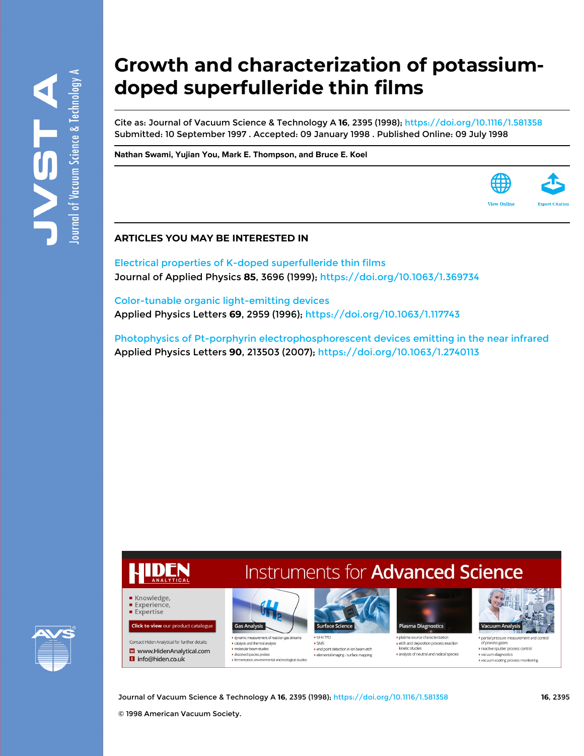# **Growth and characterization of potassiumdoped superfulleride thin films**

Cite as: Journal of Vacuum Science & Technology A **16**, 2395 (1998); <https://doi.org/10.1116/1.581358> Submitted: 10 September 1997 . Accepted: 09 January 1998 . Published Online: 09 July 1998

**[Nathan Swami](https://avs.scitation.org/author/Swami%2C+Nathan), [Yujian You](https://avs.scitation.org/author/You%2C+Yujian), [Mark E. Thompson,](https://avs.scitation.org/author/Thompson%2C+Mark+E) and [Bruce E. Koel](https://avs.scitation.org/author/Koel%2C+Bruce+E)**



[Electrical properties of K-doped superfulleride thin films](https://avs.scitation.org/doi/10.1063/1.369734) Journal of Applied Physics **85**, 3696 (1999); <https://doi.org/10.1063/1.369734>

[Color-tunable organic light-emitting devices](https://avs.scitation.org/doi/10.1063/1.117743) Applied Physics Letters **69**, 2959 (1996);<https://doi.org/10.1063/1.117743>

[Photophysics of Pt-porphyrin electrophosphorescent devices emitting in the near infrared](https://avs.scitation.org/doi/10.1063/1.2740113) Applied Physics Letters **90**, 213503 (2007); <https://doi.org/10.1063/1.2740113>



# **Instruments for Advanced Science**



dynamic measurement of reaction gas strea  $\blacktriangleright$  catalysis and thermal analysis molecular beam studies dissolved species probe ▶ fermentation, environmental and ecological studies



 $\blacktriangleright$  SIMS ▶ end point detection in ion beam etch tal imaging - surface mapping



 $\blacktriangleright$  etch and deposition process reaction kinetic studies analysis of neutral and radical species



partial pressure measurement and co f process gases reactive sputter process control vacuum diagnost vacuum coating process monitoring

Journal of Vacuum Science & Technology A **16**, 2395 (1998); <https://doi.org/10.1116/1.581358> **16**, 2395

© 1998 American Vacuum Society.

Knowledge. Experience, **Expertise** 

**Click to view our product catalogue** 

Contact Hiden Analytical for further details:

**El** info@hiden.co.uk

W www.HidenAnalytical.com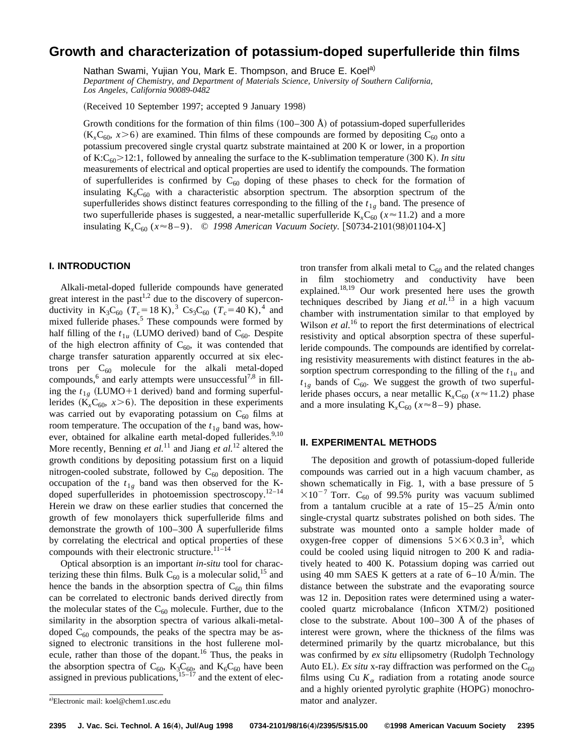## **Growth and characterization of potassium-doped superfulleride thin films**

Nathan Swami, Yujian You, Mark E. Thompson, and Bruce E. Koel<sup>a)</sup>

*Department of Chemistry, and Department of Materials Science, University of Southern California, Los Angeles, California 90089-0482*

(Received 10 September 1997; accepted 9 January 1998)

Growth conditions for the formation of thin films  $(100-300 \text{ Å})$  of potassium-doped superfullerides  $(K<sub>x</sub>C<sub>60</sub>, x>6)$  are examined. Thin films of these compounds are formed by depositing C<sub>60</sub> onto a potassium precovered single crystal quartz substrate maintained at 200 K or lower, in a proportion of K:C<sub>60</sub> $>$ 12:1, followed by annealing the surface to the K-sublimation temperature  $(300 \text{ K})$ . *In situ* measurements of electrical and optical properties are used to identify the compounds. The formation of superfullerides is confirmed by  $C_{60}$  doping of these phases to check for the formation of insulating  $K_6C_{60}$  with a characteristic absorption spectrum. The absorption spectrum of the superfullerides shows distinct features corresponding to the filling of the  $t_{1g}$  band. The presence of two superfulleride phases is suggested, a near-metallic superfulleride  $K<sub>x</sub>C<sub>60</sub>$  ( $x \approx 11.2$ ) and a more insulating K<sub>x</sub>C<sub>60</sub> ( $x \approx 8-9$ ). © 1998 American Vacuum Society. [S0734-2101(98)01104-X]

### **I. INTRODUCTION**

Alkali-metal-doped fulleride compounds have generated great interest in the past $1,2$  due to the discovery of superconductivity in K<sub>3</sub>C<sub>60</sub> ( $T_c$ =18 K),<sup>3</sup> Cs<sub>3</sub>C<sub>60</sub> ( $T_c$ =40 K),<sup>4</sup> and mixed fulleride phases.<sup>5</sup> These compounds were formed by half filling of the  $t_{1u}$  (LUMO derived) band of C<sub>60</sub>. Despite of the high electron affinity of  $C_{60}$ , it was contended that charge transfer saturation apparently occurred at six electrons per  $C_{60}$  molecule for the alkali metal-doped compounds,<sup>6</sup> and early attempts were unsuccessful<sup>7,8</sup> in filling the  $t_{1g}$  (LUMO+1 derived) band and forming superfullerides ( $K_xC_{60}$ ,  $x>6$ ). The deposition in these experiments was carried out by evaporating potassium on  $C_{60}$  films at room temperature. The occupation of the  $t_{1g}$  band was, however, obtained for alkaline earth metal-doped fullerides.<sup>9,10</sup> More recently, Benning *et al.*<sup>11</sup> and Jiang *et al.*<sup>12</sup> altered the growth conditions by depositing potassium first on a liquid nitrogen-cooled substrate, followed by  $C_{60}$  deposition. The occupation of the  $t_{1g}$  band was then observed for the Kdoped superfullerides in photoemission spectroscopy.<sup>12–14</sup> Herein we draw on these earlier studies that concerned the growth of few monolayers thick superfulleride films and demonstrate the growth of 100–300 Å superfulleride films by correlating the electrical and optical properties of these compounds with their electronic structure. $11-14$ 

Optical absorption is an important *in-situ* tool for characterizing these thin films. Bulk  $C_{60}$  is a molecular solid,<sup>15</sup> and hence the bands in the absorption spectra of  $C_{60}$  thin films can be correlated to electronic bands derived directly from the molecular states of the  $C_{60}$  molecule. Further, due to the similarity in the absorption spectra of various alkali-metaldoped  $C_{60}$  compounds, the peaks of the spectra may be assigned to electronic transitions in the host fullerene molecule, rather than those of the dopant.<sup>16</sup> Thus, the peaks in the absorption spectra of  $C_{60}$ ,  $K_3C_{60}$ , and  $K_6C_{60}$  have been assigned in previous publications,  $15-17$  and the extent of electron transfer from alkali metal to  $C_{60}$  and the related changes film stochiometry and conductivity have been explained.18,19 Our work presented here uses the growth techniques described by Jiang *et al.*<sup>13</sup> in a high vacuum chamber with instrumentation similar to that employed by Wilson *et al.*<sup>16</sup> to report the first determinations of electrical resistivity and optical absorption spectra of these superfulleride compounds. The compounds are identified by correlating resistivity measurements with distinct features in the absorption spectrum corresponding to the filling of the  $t_{1u}$  and  $t_{1g}$  bands of C<sub>60</sub>. We suggest the growth of two superfulleride phases occurs, a near metallic  $K<sub>x</sub>C<sub>60</sub>$  ( $x \approx 11.2$ ) phase and a more insulating  $K<sub>x</sub>C<sub>60</sub>$  ( $x \approx 8-9$ ) phase.

#### **II. EXPERIMENTAL METHODS**

The deposition and growth of potassium-doped fulleride compounds was carried out in a high vacuum chamber, as shown schematically in Fig. 1, with a base pressure of 5  $\times 10^{-7}$  Torr. C<sub>60</sub> of 99.5% purity was vacuum sublimed from a tantalum crucible at a rate of 15–25 Å/min onto single-crystal quartz substrates polished on both sides. The substrate was mounted onto a sample holder made of oxygen-free copper of dimensions  $5\times6\times0.3$  in<sup>3</sup>, which could be cooled using liquid nitrogen to 200 K and radiatively heated to 400 K. Potassium doping was carried out using 40 mm SAES K getters at a rate of 6–10 Å/min. The distance between the substrate and the evaporating source was 12 in. Deposition rates were determined using a watercooled quartz microbalance (Inficon XTM/2) positioned close to the substrate. About  $100-300$  Å of the phases of interest were grown, where the thickness of the films was determined primarily by the quartz microbalance, but this was confirmed by *ex situ* ellipsometry (Rudolph Technology Auto EL). *Ex situ* x-ray diffraction was performed on the  $C_{60}$ films using Cu  $K_{\alpha}$  radiation from a rotating anode source and a highly oriented pyrolytic graphite (HOPG) monochro-

a)Electronic mail: koel@chem1.usc.edu mator and analyzer.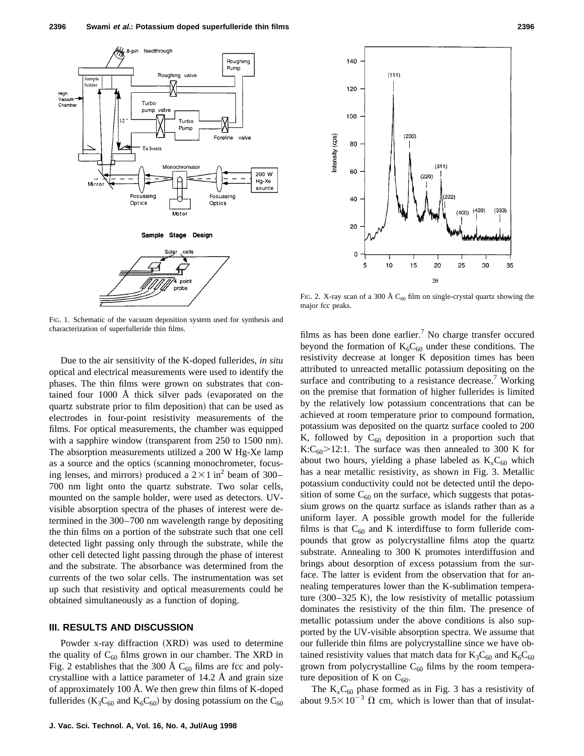

FIG. 1. Schematic of the vacuum deposition system used for synthesis and characterization of superfulleride thin films.

Due to the air sensitivity of the K-doped fullerides, *in situ* optical and electrical measurements were used to identify the phases. The thin films were grown on substrates that contained four  $1000$  Å thick silver pads (evaporated on the quartz substrate prior to film deposition) that can be used as electrodes in four-point resistivity measurements of the films. For optical measurements, the chamber was equipped with a sapphire window (transparent from  $250$  to  $1500$  nm). The absorption measurements utilized a 200 W Hg-Xe lamp as a source and the optics (scanning monochrometer, focusing lenses, and mirrors) produced a  $2 \times 1$  in<sup>2</sup> beam of 300– 700 nm light onto the quartz substrate. Two solar cells, mounted on the sample holder, were used as detectors. UVvisible absorption spectra of the phases of interest were determined in the 300–700 nm wavelength range by depositing the thin films on a portion of the substrate such that one cell detected light passing only through the substrate, while the other cell detected light passing through the phase of interest and the substrate. The absorbance was determined from the currents of the two solar cells. The instrumentation was set up such that resistivity and optical measurements could be obtained simultaneously as a function of doping.

#### **III. RESULTS AND DISCUSSION**

Powder  $x$ -ray diffraction  $(XRD)$  was used to determine the quality of  $C_{60}$  films grown in our chamber. The XRD in Fig. 2 establishes that the 300 Å  $C_{60}$  films are fcc and polycrystalline with a lattice parameter of 14.2 Å and grain size of approximately 100 Å. We then grew thin films of K-doped fullerides ( $K_3C_{60}$  and  $K_6C_{60}$ ) by dosing potassium on the  $C_{60}$ 



FIG. 2. X-ray scan of a 300 Å  $C_{60}$  film on single-crystal quartz showing the major fcc peaks.

films as has been done earlier.<sup>7</sup> No charge transfer occured beyond the formation of  $K_6C_{60}$  under these conditions. The resistivity decrease at longer K deposition times has been attributed to unreacted metallic potassium depositing on the surface and contributing to a resistance decrease.<sup>7</sup> Working on the premise that formation of higher fullerides is limited by the relatively low potassium concentrations that can be achieved at room temperature prior to compound formation, potassium was deposited on the quartz surface cooled to 200 K, followed by  $C_{60}$  deposition in a proportion such that K:C<sub>60</sub> $>$ 12:1. The surface was then annealed to 300 K for about two hours, yielding a phase labeled as  $K<sub>x</sub>C<sub>60</sub>$  which has a near metallic resistivity, as shown in Fig. 3. Metallic potassium conductivity could not be detected until the deposition of some  $C_{60}$  on the surface, which suggests that potassium grows on the quartz surface as islands rather than as a uniform layer. A possible growth model for the fulleride films is that  $C_{60}$  and K interdiffuse to form fulleride compounds that grow as polycrystalline films atop the quartz substrate. Annealing to 300 K promotes interdiffusion and brings about desorption of excess potassium from the surface. The latter is evident from the observation that for annealing temperatures lower than the K-sublimation temperature  $(300-325 \text{ K})$ , the low resistivity of metallic potassium dominates the resistivity of the thin film. The presence of metallic potassium under the above conditions is also supported by the UV-visible absorption spectra. We assume that our fulleride thin films are polycrystalline since we have obtained resistivity values that match data for  $K_3C_{60}$  and  $K_6C_{60}$ grown from polycrystalline  $C_{60}$  films by the room temperature deposition of K on  $C_{60}$ .

The  $K<sub>x</sub>C<sub>60</sub>$  phase formed as in Fig. 3 has a resistivity of about  $9.5 \times 10^{-3}$   $\Omega$  cm, which is lower than that of insulat-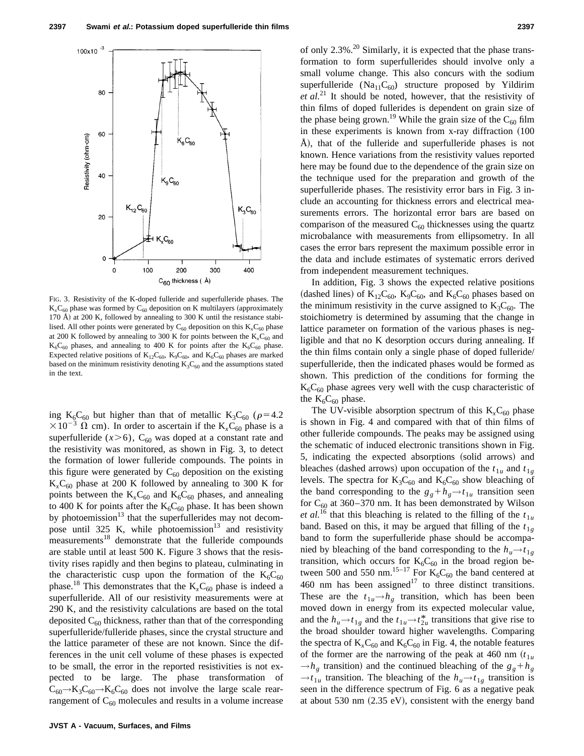

FIG. 3. Resistivity of the K-doped fulleride and superfulleride phases. The  $K<sub>x</sub>C<sub>60</sub>$  phase was formed by  $C<sub>60</sub>$  deposition on K multilayers (approximately 170 Å) at 200 K, followed by annealing to 300 K until the resistance stabilised. All other points were generated by  $C_{60}$  deposition on this  $K_{x}C_{60}$  phase at 200 K followed by annealing to 300 K for points between the  $K<sub>x</sub>C<sub>60</sub>$  and  $K_6C_{60}$  phases, and annealing to 400 K for points after the  $K_6C_{60}$  phase. Expected relative positions of  $K_{12}C_{60}$ ,  $K_{9}C_{60}$ , and  $K_{6}C_{60}$  phases are marked based on the minimum resistivity denoting  $K_3C_{60}$  and the assumptions stated in the text.

ing K<sub>6</sub>C<sub>60</sub> but higher than that of metallic K<sub>3</sub>C<sub>60</sub> ( $\rho$ =4.2  $\times 10^{-3}$   $\Omega$  cm). In order to ascertain if the K<sub>x</sub>C<sub>60</sub> phase is a superfulleride  $(x>6)$ , C<sub>60</sub> was doped at a constant rate and the resistivity was monitored, as shown in Fig. 3, to detect the formation of lower fulleride compounds. The points in this figure were generated by  $C_{60}$  deposition on the existing  $K<sub>x</sub>C<sub>60</sub>$  phase at 200 K followed by annealing to 300 K for points between the  $K<sub>x</sub>C<sub>60</sub>$  and  $K<sub>6</sub>C<sub>60</sub>$  phases, and annealing to 400 K for points after the  $K_6C_{60}$  phase. It has been shown by photoemission<sup>13</sup> that the superfullerides may not decompose until 325 K, while photoemission<sup>13</sup> and resistivity measurements<sup>18</sup> demonstrate that the fulleride compounds are stable until at least 500 K. Figure 3 shows that the resistivity rises rapidly and then begins to plateau, culminating in the characteristic cusp upon the formation of the  $K_6C_{60}$ phase.<sup>18</sup> This demonstrates that the  $K_xC_{60}$  phase is indeed a superfulleride. All of our resistivity measurements were at 290 K, and the resistivity calculations are based on the total deposited  $C_{60}$  thickness, rather than that of the corresponding superfulleride/fulleride phases, since the crystal structure and the lattice parameter of these are not known. Since the differences in the unit cell volume of these phases is expected to be small, the error in the reported resistivities is not expected to be large. The phase transformation of C<sub>60</sub>→K<sub>3</sub>C<sub>60</sub>→K<sub>6</sub>C<sub>60</sub> does not involve the large scale rearrangement of  $C_{60}$  molecules and results in a volume increase of only  $2.3\%$ <sup>20</sup> Similarly, it is expected that the phase transformation to form superfullerides should involve only a small volume change. This also concurs with the sodium superfulleride  $(Na_{11}C_{60})$  structure proposed by Yildirim *et al.*<sup>21</sup> It should be noted, however, that the resistivity of thin films of doped fullerides is dependent on grain size of the phase being grown.<sup>19</sup> While the grain size of the  $C_{60}$  film in these experiments is known from  $x$ -ray diffraction  $(100$  $\dot{A}$ ), that of the fulleride and superfulleride phases is not known. Hence variations from the resistivity values reported here may be found due to the dependence of the grain size on the technique used for the preparation and growth of the superfulleride phases. The resistivity error bars in Fig. 3 include an accounting for thickness errors and electrical measurements errors. The horizontal error bars are based on comparison of the measured  $C_{60}$  thicknesses using the quartz microbalance with measurements from ellipsometry. In all cases the error bars represent the maximum possible error in the data and include estimates of systematic errors derived from independent measurement techniques.

In addition, Fig. 3 shows the expected relative positions (dashed lines) of  $K_{12}C_{60}$ ,  $K_{9}C_{60}$ , and  $K_{6}C_{60}$  phases based on the minimum resistivity in the curve assigned to  $K_3C_{60}$ . The stoichiometry is determined by assuming that the change in lattice parameter on formation of the various phases is negligible and that no K desorption occurs during annealing. If the thin films contain only a single phase of doped fulleride/ superfulleride, then the indicated phases would be formed as shown. This prediction of the conditions for forming the  $K_6C_{60}$  phase agrees very well with the cusp characteristic of the  $K_6C_{60}$  phase.

The UV-visible absorption spectrum of this  $K<sub>x</sub>C<sub>60</sub>$  phase is shown in Fig. 4 and compared with that of thin films of other fulleride compounds. The peaks may be assigned using the schematic of induced electronic transitions shown in Fig. 5, indicating the expected absorptions (solid arrows) and bleaches (dashed arrows) upon occupation of the  $t_{1u}$  and  $t_{1g}$ levels. The spectra for  $K_3C_{60}$  and  $K_6C_{60}$  show bleaching of the band corresponding to the  $g_g + h_g \rightarrow t_{1u}$  transition seen for  $C_{60}$  at 360–370 nm. It has been demonstrated by Wilson *et al.*<sup>16</sup> that this bleaching is related to the filling of the  $t_{1u}$ band. Based on this, it may be argued that filling of the  $t_{1g}$ band to form the superfulleride phase should be accompanied by bleaching of the band corresponding to the  $h_u \rightarrow t_{1g}$ transition, which occurs for  $K_6C_{60}$  in the broad region between 500 and 550 nm.<sup>15–17</sup> For  $K_6C_{60}$  the band centered at 460 nm has been assigned<sup>17</sup> to three distinct transitions. These are the  $t_{1u} \rightarrow h_g$  transition, which has been been moved down in energy from its expected molecular value, and the  $h_u \rightarrow t_{1g}$  and the  $t_{1u} \rightarrow t_{2u}^*$  transitions that give rise to the broad shoulder toward higher wavelengths. Comparing the spectra of  $K<sub>x</sub>C<sub>60</sub>$  and  $K<sub>6</sub>C<sub>60</sub>$  in Fig. 4, the notable features of the former are the narrowing of the peak at 460 nm  $(t_{1u})$  $\rightarrow h_g$  transition) and the continued bleaching of the  $g_g + h_g$  $\rightarrow t_{1u}$  transition. The bleaching of the  $h_u \rightarrow t_{1g}$  transition is seen in the difference spectrum of Fig. 6 as a negative peak at about 530 nm  $(2.35 \text{ eV})$ , consistent with the energy band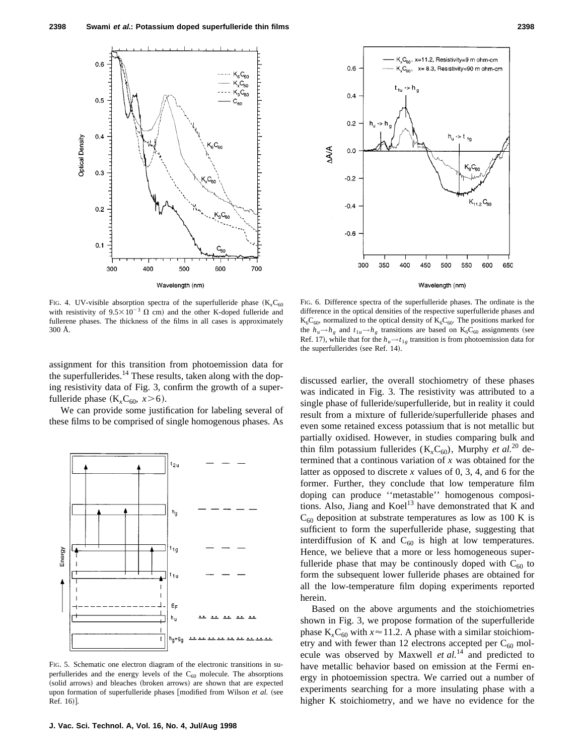

FIG. 4. UV-visible absorption spectra of the superfulleride phase  $(K<sub>x</sub>C<sub>60</sub>)$ with resistivity of  $9.5 \times 10^{-3} \Omega$  cm) and the other K-doped fulleride and fullerene phases. The thickness of the films in all cases is approximately 300 Å.

assignment for this transition from photoemission data for the superfullerides.<sup>14</sup> These results, taken along with the doping resistivity data of Fig. 3, confirm the growth of a superfulleride phase  $(K_xC_{60}, x>6)$ .

We can provide some justification for labeling several of these films to be comprised of single homogenous phases. As



FIG. 5. Schematic one electron diagram of the electronic transitions in superfullerides and the energy levels of the  $C_{60}$  molecule. The absorptions (solid arrows) and bleaches (broken arrows) are shown that are expected upon formation of superfulleride phases [modified from Wilson et al. (see Ref. 16).



Wavelength (nm)

FIG. 6. Difference spectra of the superfulleride phases. The ordinate is the difference in the optical densities of the respective superfulleride phases and  $K_6C_{60}$ , normalized to the optical density of  $K_6C_{60}$ . The positions marked for the  $h_u \rightarrow h_g$  and  $t_{1u} \rightarrow h_g$  transitions are based on  $K_6C_{60}$  assignments (see Ref. 17), while that for the  $h_u \rightarrow t_{1g}$  transition is from photoemission data for the superfullerides (see Ref. 14).

discussed earlier, the overall stochiometry of these phases was indicated in Fig. 3. The resistivity was attributed to a single phase of fulleride/superfulleride, but in reality it could result from a mixture of fulleride/superfulleride phases and even some retained excess potassium that is not metallic but partially oxidised. However, in studies comparing bulk and thin film potassium fullerides  $(K<sub>x</sub>C<sub>60</sub>)$ , Murphy *et al.*<sup>20</sup> determined that a continous variation of *x* was obtained for the latter as opposed to discrete *x* values of 0, 3, 4, and 6 for the former. Further, they conclude that low temperature film doping can produce ''metastable'' homogenous compositions. Also, Jiang and  $K$ oel<sup>13</sup> have demonstrated that  $K$  and  $C_{60}$  deposition at substrate temperatures as low as 100 K is sufficient to form the superfulleride phase, suggesting that interdiffusion of K and  $C_{60}$  is high at low temperatures. Hence, we believe that a more or less homogeneous superfulleride phase that may be continuously doped with  $C_{60}$  to form the subsequent lower fulleride phases are obtained for all the low-temperature film doping experiments reported herein.

Based on the above arguments and the stoichiometries shown in Fig. 3, we propose formation of the superfulleride phase  $K_xC_{60}$  with  $x \approx 11.2$ . A phase with a similar stoichiometry and with fewer than 12 electrons accepted per  $C_{60}$  molecule was observed by Maxwell *et al.*<sup>14</sup> and predicted to have metallic behavior based on emission at the Fermi energy in photoemission spectra. We carried out a number of experiments searching for a more insulating phase with a higher K stoichiometry, and we have no evidence for the